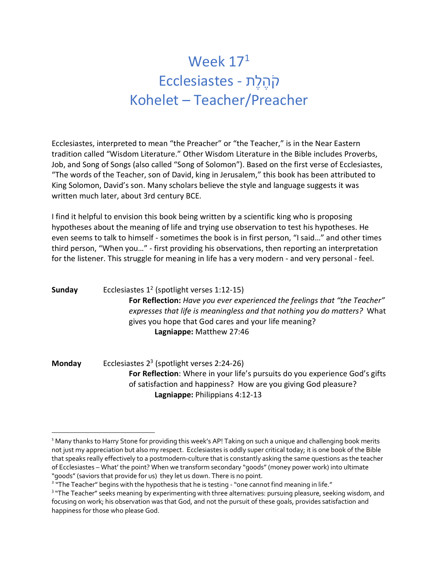## Week  $17<sup>1</sup>$ תֶלֶהֹק - Ecclesiastes Kohelet – Teacher/Preacher

Ecclesiastes, interpreted to mean "the Preacher" or "the Teacher," is in the Near Eastern tradition called "Wisdom Literature." Other Wisdom Literature in the Bible includes Proverbs, Job, and Song of Songs (also called "Song of Solomon"). Based on the first verse of Ecclesiastes, "The words of the Teacher, son of David, king in Jerusalem," this book has been attributed to King Solomon, David's son. Many scholars believe the style and language suggests it was written much later, about 3rd century BCE.

I find it helpful to envision this book being written by a scientific king who is proposing hypotheses about the meaning of life and trying use observation to test his hypotheses. He even seems to talk to himself - sometimes the book is in first person, "I said…" and other times third person, "When you…" - first providing his observations, then reporting an interpretation for the listener. This struggle for meaning in life has a very modern - and very personal - feel.

**Sunday** Ecclesiastes 12 (spotlight verses 1:12-15) **For Reflection:** *Have you ever experienced the feelings that "the Teacher" expresses that life is meaningless and that nothing you do matters?* What gives you hope that God cares and your life meaning? **Lagniappe:** Matthew 27:46

**Monday** Ecclesiastes 23 (spotlight verses 2:24-26) **For Reflection**: Where in your life's pursuits do you experience God's gifts of satisfaction and happiness? How are you giving God pleasure? **Lagniappe:** Philippians 4:12-13

<sup>&</sup>lt;sup>1</sup> Many thanks to Harry Stone for providing this week's AP! Taking on such a unique and challenging book merits not just my appreciation but also my respect. Ecclesiastes is oddly super critical today; it is one book of the Bible that speaks really effectively to a postmodern-culture that is constantly asking the same questions as the teacher of Ecclesiastes – What' the point? When we transform secondary "goods"(money power work) into ultimate "goods" (saviors that provide for us) they let us down. There is no point.<br><sup>2</sup> "The Teacher" begins with the hypothesis that he is testing - "one cannot find meaning in life."<br><sup>3</sup> "The Teacher" seeks meaning by experimenti

focusing on work; his observation was that God, and not the pursuit of these goals, provides satisfaction and happiness for those who please God.